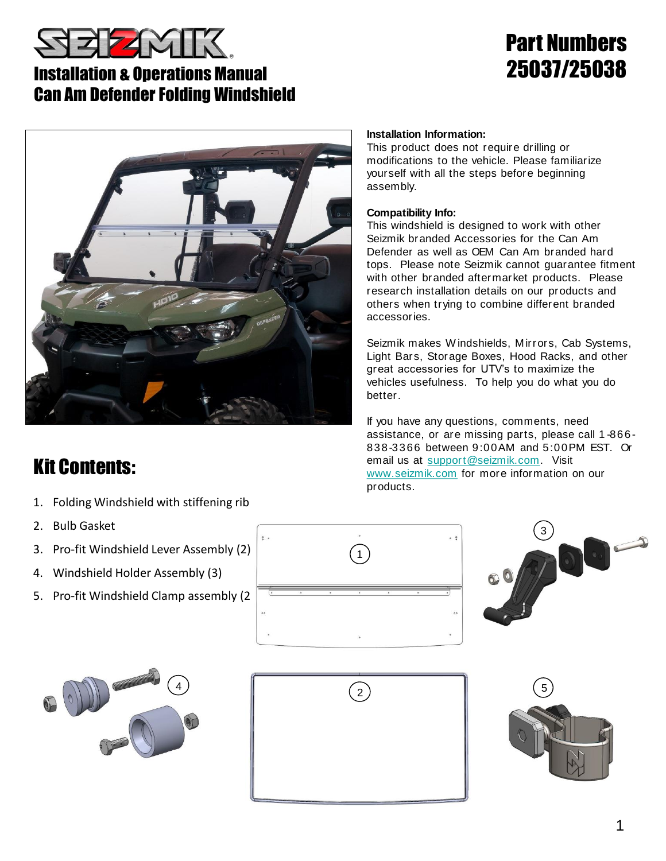

### Installation & Operations Manual Can Am Defender Folding Windshield

# Part Numbers 25037/25038



## Kit Contents:

- 1. Folding Windshield with stiffening rib
- 2. Bulb Gasket
- 3. Pro-fit Windshield Lever Assembly (2)
- 4. Windshield Holder Assembly (3)
- 5. Pro-fit Windshield Clamp assembly (2)





 $\overline{1}$ 

 $\ddot{\circ}$ 

### **Installation Information:**

This product does not require drilling or modifications to the vehicle. Please familiarize yourself with all the steps before beginning assembly.

#### **Compatibility Info:**

This windshield is designed to work with other Seizmik branded Accessories for the Can Am Defender as well as OEM Can Am branded hard tops. Please note Seizmik cannot guarantee fitment with other branded aftermarket products. Please research installation details on our products and others when trying to combine different branded accessories.

Seizmik makes W indshields, Mirrors, Cab Systems, Light Bars, Storage Boxes, Hood Racks, and other great accessories for UTV's to maximize the vehicles usefulness. To help you do what you do better.

If you have any questions, comments, need assistance, or are missing parts, please call 1 -866- 838-3366 between 9:00AM and 5:00PM EST. Or email us at [support@seizmik.com.](mailto:support@seizmik.com) Visit [www.seizmik.com](http://www.seizmik.com/) for more information on our products.



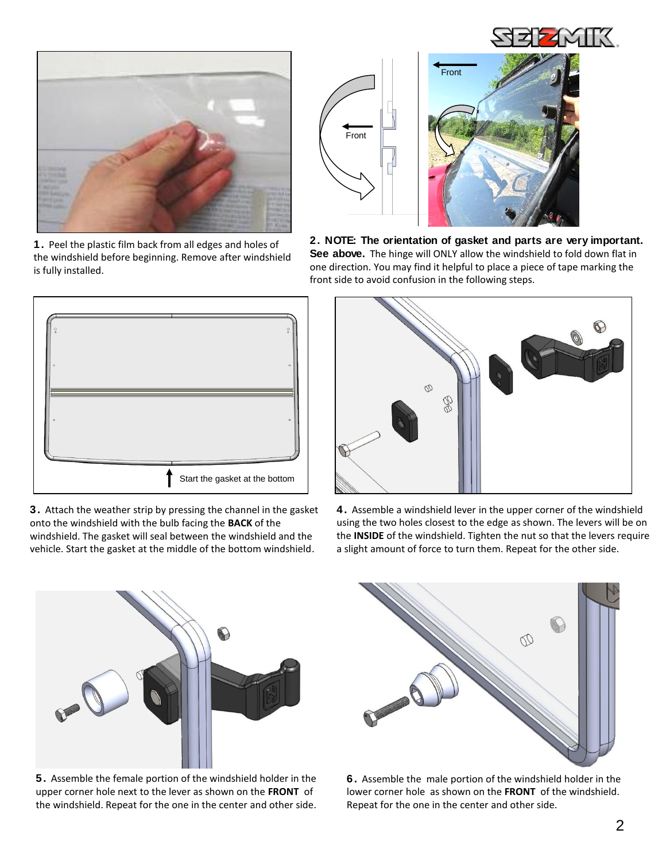



**1.** Peel the plastic film back from all edges and holes of the windshield before beginning. Remove after windshield is fully installed.



**3.** Attach the weather strip by pressing the channel in the gasket onto the windshield with the bulb facing the **BACK** of the windshield. The gasket will seal between the windshield and the vehicle. Start the gasket at the middle of the bottom windshield.



Front

**2. NOTE: The orientation of gasket and parts are very important.**  See above. The hinge will ONLY allow the windshield to fold down flat in one direction. You may find it helpful to place a piece of tape marking the front side to avoid confusion in the following steps.



**4.** Assemble a windshield lever in the upper corner of the windshield using the two holes closest to the edge as shown. The levers will be on the **INSIDE** of the windshield. Tighten the nut so that the levers require a slight amount of force to turn them. Repeat for the other side.



**5.** Assemble the female portion of the windshield holder in the upper corner hole next to the lever as shown on the **FRONT** of the windshield. Repeat for the one in the center and other side.



**6.** Assemble the male portion of the windshield holder in the lower corner hole as shown on the **FRONT** of the windshield. Repeat for the one in the center and other side.